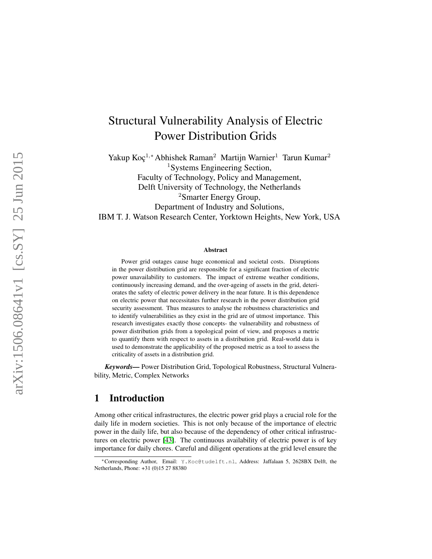# Structural Vulnerability Analysis of Electric Power Distribution Grids

Yakup Koç<sup>1,</sup>\* Abhishek Raman<sup>2</sup> Martijn Warnier<sup>1</sup> Tarun Kumar<sup>2</sup> <sup>1</sup>Systems Engineering Section, Faculty of Technology, Policy and Management, Delft University of Technology, the Netherlands <sup>2</sup>Smarter Energy Group, Department of Industry and Solutions, IBM T. J. Watson Research Center, Yorktown Heights, New York, USA

#### Abstract

Power grid outages cause huge economical and societal costs. Disruptions in the power distribution grid are responsible for a significant fraction of electric power unavailability to customers. The impact of extreme weather conditions, continuously increasing demand, and the over-ageing of assets in the grid, deteriorates the safety of electric power delivery in the near future. It is this dependence on electric power that necessitates further research in the power distribution grid security assessment. Thus measures to analyse the robustness characteristics and to identify vulnerabilities as they exist in the grid are of utmost importance. This research investigates exactly those concepts- the vulnerability and robustness of power distribution grids from a topological point of view, and proposes a metric to quantify them with respect to assets in a distribution grid. Real-world data is used to demonstrate the applicability of the proposed metric as a tool to assess the criticality of assets in a distribution grid.

*Keywords—* Power Distribution Grid, Topological Robustness, Structural Vulnerability, Metric, Complex Networks

### <span id="page-0-0"></span>1 Introduction

Among other critical infrastructures, the electric power grid plays a crucial role for the daily life in modern societies. This is not only because of the importance of electric power in the daily life, but also because of the dependency of other critical infrastructures on electric power [\[43\]](#page-19-0). The continuous availability of electric power is of key importance for daily chores. Careful and diligent operations at the grid level ensure the

<sup>∗</sup>Corresponding Author, Email: Y.Koc@tudelft.nl, Address: Jaffalaan 5, 2628BX Delft, the Netherlands, Phone: +31 (0)15 27 88380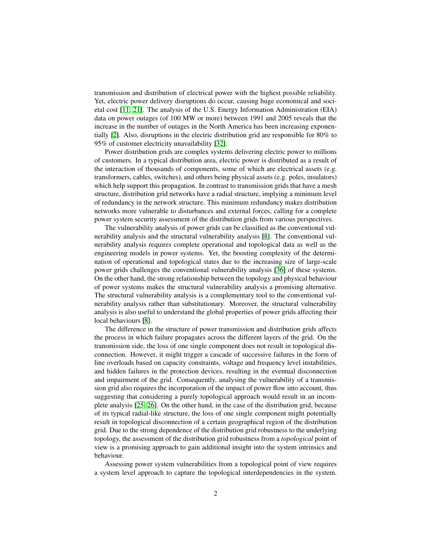transmission and distribution of electrical power with the highest possible reliability. Yet, electric power delivery disruptions do occur, causing huge economical and societal cost [\[11,](#page-16-0) [21\]](#page-17-0). The analysis of the U.S. Energy Information Administration (EIA) data on power outages (of 100 MW or more) between 1991 and 2005 reveals that the increase in the number of outages in the North America has been increasing exponentially [\[2\]](#page-16-1). Also, disruptions in the electric distribution grid are responsible for 80% to 95% of customer electricity unavailability [\[32\]](#page-18-0).

Power distribution grids are complex systems delivering electric power to millions of customers. In a typical distribution area, electric power is distributed as a result of the interaction of thousands of components, some of which are electrical assets (e.g. transformers, cables, switches), and others being physical assets (e.g. poles, insulators) which help support this propagation. In contrast to transmission grids that have a mesh structure, distribution grid networks have a radial structure, implying a minimum level of redundancy in the network structure. This minimum redundancy makes distribution networks more vulnerable to disturbances and external forces, calling for a complete power system security assessment of the distribution grids from various perspectives.

The vulnerability analysis of power grids can be classified as the conventional vulnerability analysis and the structural vulnerability analysis [\[8\]](#page-16-2). The conventional vulnerability analysis requires complete operational and topological data as well as the engineering models in power systems. Yet, the boosting complexity of the determination of operational and topological states due to the increasing size of large-scale power grids challenges the conventional vulnerability analysis [\[36\]](#page-18-1) of these systems. On the other hand, the strong relationship between the topology and physical behaviour of power systems makes the structural vulnerability analysis a promising alternative. The structural vulnerability analysis is a complementary tool to the conventional vulnerability analysis rather than substitutionary. Moreover, the structural vulnerability analysis is also useful to understand the global properties of power grids affecting their local behaviours [\[8\]](#page-16-2).

The difference in the structure of power transmission and distribution grids affects the process in which failure propagates across the different layers of the grid. On the transmission side, the loss of one single component does not result in topological disconnection. However, it might trigger a cascade of successive failures in the form of line overloads based on capacity constraints, voltage and frequency level instabilities, and hidden failures in the protection devices, resulting in the eventual disconnection and impairment of the grid. Consequently, analysing the vulnerability of a transmission grid also requires the incorporation of the impact of power flow into account, thus suggesting that considering a purely topological approach would result in an incomplete analysis [\[25,](#page-17-1) [26\]](#page-17-2). On the other hand, in the case of the distribution grid, because of its typical radial-like structure, the loss of one single component might potentially result in topological disconnection of a certain geographical region of the distribution grid. Due to the strong dependence of the distribution grid robustness to the underlying topology, the assessment of the distribution grid robustness from a *topological* point of view is a promising approach to gain additional insight into the system intrinsics and behaviour.

Assessing power system vulnerabilities from a topological point of view requires a system level approach to capture the topological interdependencies in the system.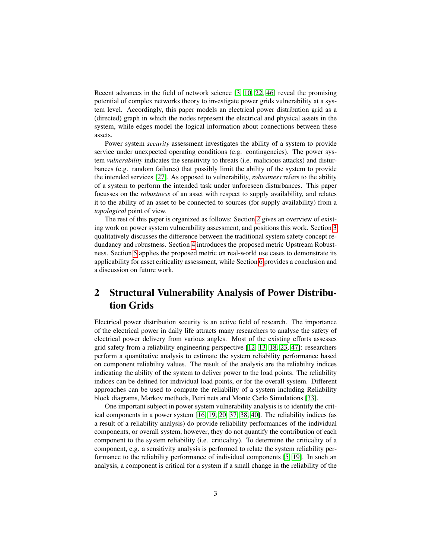Recent advances in the field of network science [\[3,](#page-16-3) [10,](#page-16-4) [22,](#page-17-3) [46\]](#page-19-1) reveal the promising potential of complex networks theory to investigate power grids vulnerability at a system level. Accordingly, this paper models an electrical power distribution grid as a (directed) graph in which the nodes represent the electrical and physical assets in the system, while edges model the logical information about connections between these assets.

Power system *security* assessment investigates the ability of a system to provide service under unexpected operating conditions (e.g. contingencies). The power system *vulnerability* indicates the sensitivity to threats (i.e. malicious attacks) and disturbances (e.g. random failures) that possibly limit the ability of the system to provide the intended services [\[27\]](#page-17-4). As opposed to vulnerability, *robustness* refers to the ability of a system to perform the intended task under unforeseen disturbances. This paper focusses on the *robustness* of an asset with respect to supply availability, and relates it to the ability of an asset to be connected to sources (for supply availability) from a *topological* point of view.

The rest of this paper is organized as follows: Section [2](#page-2-0) gives an overview of existing work on power system vulnerability assessment, and positions this work. Section [3](#page-4-0) qualitatively discusses the difference between the traditional system safety concept redundancy and robustness. Section [4](#page-5-0) introduces the proposed metric Upstream Robustness. Section [5](#page-8-0) applies the proposed metric on real-world use cases to demonstrate its applicability for asset criticality assessment, while Section [6](#page-14-0) provides a conclusion and a discussion on future work.

## <span id="page-2-0"></span>2 Structural Vulnerability Analysis of Power Distribution Grids

Electrical power distribution security is an active field of research. The importance of the electrical power in daily life attracts many researchers to analyse the safety of electrical power delivery from various angles. Most of the existing efforts assesses grid safety from a reliability engineering perspective [\[12,](#page-16-5) [13,](#page-16-6) [18,](#page-17-5) [23,](#page-17-6) [47\]](#page-19-2): researchers perform a quantitative analysis to estimate the system reliability performance based on component reliability values. The result of the analysis are the reliability indices indicating the ability of the system to deliver power to the load points. The reliability indices can be defined for individual load points, or for the overall system. Different approaches can be used to compute the reliability of a system including Reliability block diagrams, Markov methods, Petri nets and Monte Carlo Simulations [\[33\]](#page-18-2).

One important subject in power system vulnerability analysis is to identify the critical components in a power system [\[16,](#page-17-7) [19,](#page-17-8) [20,](#page-17-9) [37,](#page-18-3) [38,](#page-18-4) [40\]](#page-18-5). The reliability indices (as a result of a reliability analysis) do provide reliability performances of the individual components, or overall system, however, they do not quantify the contribution of each component to the system reliability (i.e. criticality). To determine the criticality of a component, e.g. a sensitivity analysis is performed to relate the system reliability performance to the reliability performance of individual components [\[5,](#page-16-7) [19\]](#page-17-8). In such an analysis, a component is critical for a system if a small change in the reliability of the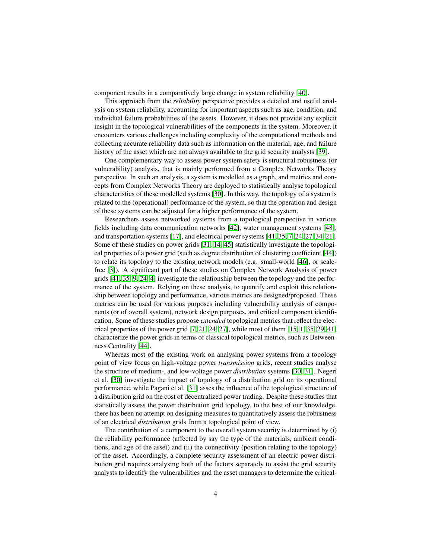component results in a comparatively large change in system reliability [\[40\]](#page-18-5).

This approach from the *reliability* perspective provides a detailed and useful analysis on system reliability, accounting for important aspects such as age, condition, and individual failure probabilities of the assets. However, it does not provide any explicit insight in the topological vulnerabilities of the components in the system. Moreover, it encounters various challenges including complexity of the computational methods and collecting accurate reliability data such as information on the material, age, and failure history of the asset which are not always available to the grid security analysts [\[39\]](#page-18-6).

One complementary way to assess power system safety is structural robustness (or vulnerability) analysis, that is mainly performed from a Complex Networks Theory perspective. In such an analysis, a system is modelled as a graph, and metrics and concepts from Complex Networks Theory are deployed to statistically analyse topological characteristics of these modelled systems [\[30\]](#page-18-7). In this way, the topology of a system is related to the (operational) performance of the system, so that the operation and design of these systems can be adjusted for a higher performance of the system.

Researchers assess networked systems from a topological perspective in various fields including data communication networks [\[42\]](#page-18-8), water management systems [\[48\]](#page-19-3), and transportation systems [\[17\]](#page-17-10), and electrical power systems [\[41,](#page-18-9) [35,](#page-18-10) [7,](#page-16-8) [24,](#page-17-11) [27,](#page-17-4) [34,](#page-18-11) [21\]](#page-17-0). Some of these studies on power grids [\[31,](#page-18-12) [14,](#page-16-9) [45\]](#page-19-4) statistically investigate the topological properties of a power grid (such as degree distribution of clustering coefficient [\[44\]](#page-19-5)) to relate its topology to the existing network models (e.g. small-world [\[46\]](#page-19-1), or scalefree [\[3\]](#page-16-3)). A significant part of these studies on Complex Network Analysis of power grids [\[41,](#page-18-9) [35,](#page-18-10) [9,](#page-16-10) [24,](#page-17-11) [4\]](#page-16-11) investigate the relationship between the topology and the performance of the system. Relying on these analysis, to quantify and exploit this relationship between topology and performance, various metrics are designed/proposed. These metrics can be used for various purposes including vulnerability analysis of components (or of overall system), network design purposes, and critical component identification. Some of these studies propose *extended* topological metrics that reflect the electrical properties of the power grid  $[7, 21, 24, 27]$  $[7, 21, 24, 27]$  $[7, 21, 24, 27]$  $[7, 21, 24, 27]$ , while most of them  $[15, 1, 35, 29, 41]$  $[15, 1, 35, 29, 41]$  $[15, 1, 35, 29, 41]$  $[15, 1, 35, 29, 41]$  $[15, 1, 35, 29, 41]$ characterize the power grids in terms of classical topological metrics, such as Betweenness Centrality [\[44\]](#page-19-5).

Whereas most of the existing work on analysing power systems from a topology point of view focus on high-voltage power *transmission* grids, recent studies analyse the structure of medium-, and low-voltage power *distribution* systems [\[30,](#page-18-7) [31\]](#page-18-12). Negeri et al. [\[30\]](#page-18-7) investigate the impact of topology of a distribution grid on its operational performance, while Pagani et al. [\[31\]](#page-18-12) asses the influence of the topological structure of a distribution grid on the cost of decentralized power trading. Despite these studies that statistically assess the power distribution grid topology, to the best of our knowledge, there has been no attempt on designing measures to quantitatively assess the robustness of an electrical *distribution* grids from a topological point of view.

The contribution of a component to the overall system security is determined by (i) the reliability performance (affected by say the type of the materials, ambient conditions, and age of the asset) and (ii) the connectivity (position relating to the topology) of the asset. Accordingly, a complete security assessment of an electric power distribution grid requires analysing both of the factors separately to assist the grid security analysts to identify the vulnerabilities and the asset managers to determine the critical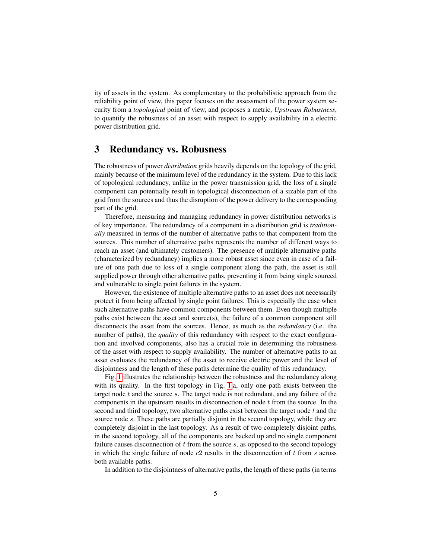ity of assets in the system. As complementary to the probabilistic approach from the reliability point of view, this paper focuses on the assessment of the power system security from a *topological* point of view, and proposes a metric, *Upstream Robustness*, to quantify the robustness of an asset with respect to supply availability in a electric power distribution grid.

## <span id="page-4-0"></span>3 Redundancy vs. Robusness

The robustness of power *distribution* grids heavily depends on the topology of the grid, mainly because of the minimum level of the redundancy in the system. Due to this lack of topological redundancy, unlike in the power transmission grid, the loss of a single component can potentially result in topological disconnection of a sizable part of the grid from the sources and thus the disruption of the power delivery to the corresponding part of the grid.

Therefore, measuring and managing redundancy in power distribution networks is of key importance. The redundancy of a component in a distribution grid is *traditionally* measured in terms of the number of alternative paths to that component from the sources. This number of alternative paths represents the number of different ways to reach an asset (and ultimately customers). The presence of multiple alternative paths (characterized by redundancy) implies a more robust asset since even in case of a failure of one path due to loss of a single component along the path, the asset is still supplied power through other alternative paths, preventing it from being single sourced and vulnerable to single point failures in the system.

However, the existence of multiple alternative paths to an asset does not necessarily protect it from being affected by single point failures. This is especially the case when such alternative paths have common components between them. Even though multiple paths exist between the asset and source(s), the failure of a common component still disconnects the asset from the sources. Hence, as much as the *redundancy* (i.e. the number of paths), the *quality* of this redundancy with respect to the exact configuration and involved components, also has a crucial role in determining the robustness of the asset with respect to supply availability. The number of alternative paths to an asset evaluates the redundancy of the asset to receive electric power and the level of disjointness and the length of these paths determine the quality of this redundancy.

Fig. [1](#page-5-1) illustrates the relationship between the robustness and the redundancy along with its quality. In the first topology in Fig. [1.](#page-5-1)a, only one path exists between the target node  $t$  and the source  $s$ . The target node is not redundant, and any failure of the components in the upstream results in disconnection of node  $t$  from the source. In the second and third topology, two alternative paths exist between the target node  $t$  and the source node s. These paths are partially disjoint in the second topology, while they are completely disjoint in the last topology. As a result of two completely disjoint paths, in the second topology, all of the components are backed up and no single component failure causes disconnection of t from the source s, as opposed to the second topology in which the single failure of node  $c2$  results in the disconnection of t from s across both available paths.

In addition to the disjointness of alternative paths, the length of these paths (in terms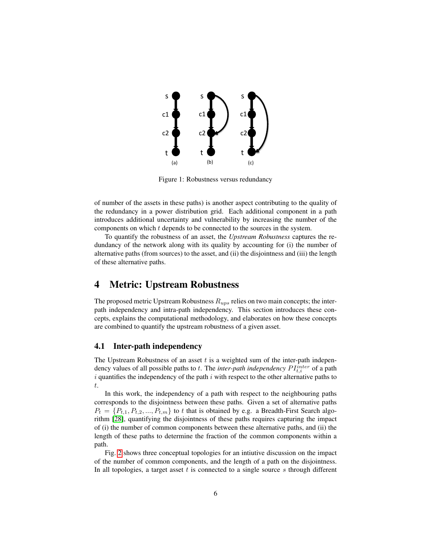<span id="page-5-1"></span>

Figure 1: Robustness versus redundancy

of number of the assets in these paths) is another aspect contributing to the quality of the redundancy in a power distribution grid. Each additional component in a path introduces additional uncertainty and vulnerability by increasing the number of the components on which t depends to be connected to the sources in the system.

To quantify the robustness of an asset, the *Upstream Robustness* captures the redundancy of the network along with its quality by accounting for (i) the number of alternative paths (from sources) to the asset, and (ii) the disjointness and (iii) the length of these alternative paths.

## <span id="page-5-0"></span>4 Metric: Upstream Robustness

The proposed metric Upstream Robustness  $R_{ups}$  relies on two main concepts; the interpath independency and intra-path independency. This section introduces these concepts, explains the computational methodology, and elaborates on how these concepts are combined to quantify the upstream robustness of a given asset.

#### 4.1 Inter-path independency

The Upstream Robustness of an asset  $t$  is a weighted sum of the inter-path independency values of all possible paths to  $t$ . The *inter-path independency*  $PI^{inter}_{t,i}$  of a path  $i$  quantifies the independency of the path  $i$  with respect to the other alternative paths to t.

In this work, the independency of a path with respect to the neighbouring paths corresponds to the disjointness between these paths. Given a set of alternative paths  $P_t = \{P_{t,1}, P_{t,2}, ..., P_{t,m}\}\$ to t that is obtained by e.g. a Breadth-First Search algorithm [\[28\]](#page-17-13), quantifying the disjointness of these paths requires capturing the impact of (i) the number of common components between these alternative paths, and (ii) the length of these paths to determine the fraction of the common components within a path.

Fig. [2](#page-6-0) shows three conceptual topologies for an intiutive discussion on the impact of the number of common components, and the length of a path on the disjointness. In all topologies, a target asset  $t$  is connected to a single source  $s$  through different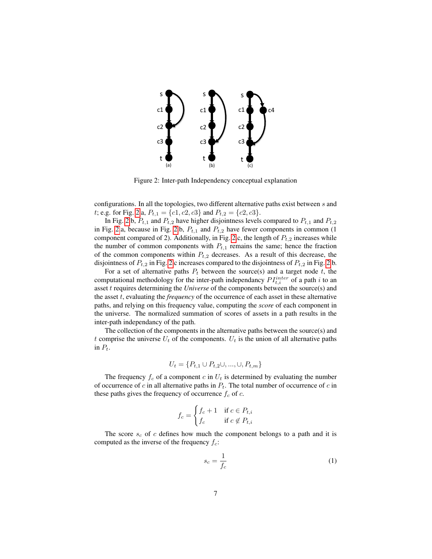<span id="page-6-0"></span>

Figure 2: Inter-path Independency conceptual explanation

configurations. In all the topologies, two different alternative paths exist between s and t; e.g. for Fig. [2.](#page-6-0)a,  $P_{t,1} = \{c1, c2, c3\}$  and  $P_{t,2} = \{c2, c3\}$ .

In Fig. [2.](#page-6-0)b,  $P_{t,1}$  and  $P_{t,2}$  have higher disjointness levels compared to  $P_{t,1}$  and  $P_{t,2}$ in Fig. [2.](#page-6-0)a, because in Fig. 2.b,  $P_{t,1}$  and  $P_{t,2}$  have fewer components in common (1) component compared of 2). Additionally, in Fig. [2.](#page-6-0)c, the length of  $P_{t,2}$  increases while the number of common components with  $P_{t,1}$  remains the same; hence the fraction of the common components within  $P_{t,2}$  decreases. As a result of this decrease, the disjointness of  $P_{t,2}$  in Fig. [2.](#page-6-0)c increases compared to the disjointness of  $P_{t,2}$  in Fig. 2.b.

For a set of alternative paths  $P_t$  between the source(s) and a target node t, the computational methodology for the inter-path independancy  $PI^{inter}_{t,i}$  of a path i to an asset t requires determining the *Universe* of the components between the source(s) and the asset t, evaluating the *frequency* of the occurrence of each asset in these alternative paths, and relying on this frequency value, computing the *score* of each component in the universe. The normalized summation of scores of assets in a path results in the inter-path independancy of the path.

The collection of the components in the alternative paths between the source(s) and t comprise the universe  $U_t$  of the components.  $U_t$  is the union of all alternative paths in  $P_t$ .

$$
U_t = \{P_{t,1} \cup P_{t,2} \cup, ..., \cup, P_{t,m}\}
$$

The frequency  $f_c$  of a component c in  $U_t$  is determined by evaluating the number of occurrence of c in all alternative paths in  $P_t$ . The total number of occurrence of c in these paths gives the frequency of occurrence  $f_c$  of  $c$ .

$$
f_c = \begin{cases} f_c + 1 & \text{if } c \in P_{t,i} \\ f_c & \text{if } c \notin P_{t,i} \end{cases}
$$

The score  $s_c$  of c defines how much the component belongs to a path and it is computed as the inverse of the frequency  $f_c$ :

$$
s_c = \frac{1}{f_c} \tag{1}
$$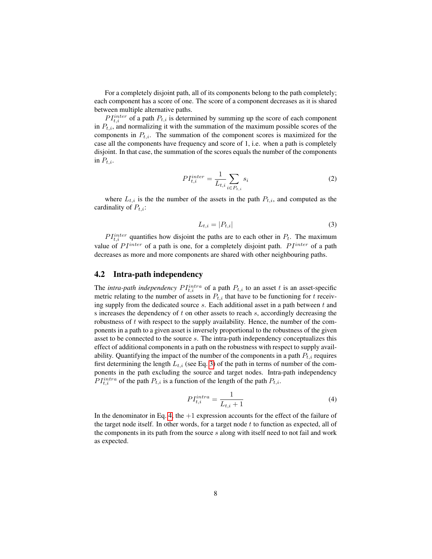For a completely disjoint path, all of its components belong to the path completely; each component has a score of one. The score of a component decreases as it is shared between multiple alternative paths.

 $PI_{t,i}^{inter}$  of a path  $P_{t,i}$  is determined by summing up the score of each component in  $P_{t,i}$ , and normalizing it with the summation of the maximum possible scores of the components in  $P_{t,i}$ . The summation of the component scores is maximized for the case all the components have frequency and score of 1, i.e. when a path is completely disjoint. In that case, the summation of the scores equals the number of the components in  $P_{t,i}$ .

$$
PI_{t,i}^{inter} = \frac{1}{L_{t,i}} \sum_{i \in P_{t,i}} s_i
$$
 (2)

where  $L_{t,i}$  is the the number of the assets in the path  $P_{t,i}$ , and computed as the cardinality of  $P_{t,i}$ :

<span id="page-7-0"></span>
$$
L_{t,i} = |P_{t,i}| \tag{3}
$$

 $PI_{t,i}^{inter}$  quantifies how disjoint the paths are to each other in  $P_t$ . The maximum value of  $PI^{inter}$  of a path is one, for a completely disjoint path.  $PI^{inter}$  of a path decreases as more and more components are shared with other neighbouring paths.

#### 4.2 Intra-path independency

The *intra-path independency*  $PI^{intra}_{t,i}$  of a path  $P_{t,i}$  to an asset t is an asset-specific metric relating to the number of assets in  $P_{t,i}$  that have to be functioning for t receiving supply from the dedicated source  $s$ . Each additional asset in a path between  $t$  and s increases the dependency of  $t$  on other assets to reach  $s$ , accordingly decreasing the robustness of  $t$  with respect to the supply availability. Hence, the number of the components in a path to a given asset is inversely proportional to the robustness of the given asset to be connected to the source s. The intra-path independency conceptualizes this effect of additional components in a path on the robustness with respect to supply availability. Quantifying the impact of the number of the components in a path  $P_{t,i}$  requires first determining the length  $L_{t,i}$  (see Eq. [3\)](#page-7-0) of the path in terms of number of the components in the path excluding the source and target nodes. Intra-path independency  $PI_{t,i}^{intra}$  of the path  $P_{t,i}$  is a function of the length of the path  $P_{t,i}$ .

<span id="page-7-1"></span>
$$
PI_{t,i}^{intra} = \frac{1}{L_{t,i} + 1} \tag{4}
$$

In the denominator in Eq. [4,](#page-7-1) the  $+1$  expression accounts for the effect of the failure of the target node itself. In other words, for a target node  $t$  to function as expected, all of the components in its path from the source  $s$  along with itself need to not fail and work as expected.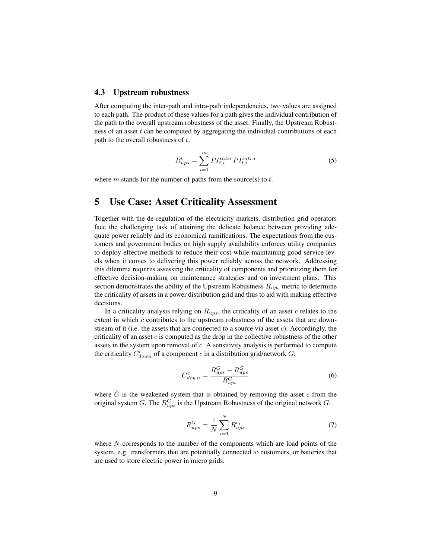#### 4.3 Upstream robustness

After computing the inter-path and intra-path independencies, two values are assigned to each path. The product of these values for a path gives the individual contribution of the path to the overall upstream robustness of the asset. Finally, the Upstream Robustness of an asset  $t$  can be computed by aggregating the individual contributions of each path to the overall robustness of  $t$ .

$$
R_{ups}^t = \sum_{i=1}^m PI_{t,i}^{inter}PI_{t,i}^{intra}
$$
\n<sup>(5)</sup>

where  $m$  stands for the number of paths from the source(s) to  $t$ .

## <span id="page-8-0"></span>5 Use Case: Asset Criticality Assessment

Together with the de-regulation of the electricity markets, distribution grid operators face the challenging task of attaining the delicate balance between providing adequate power reliably and its economical ramifications. The expectations from the customers and government bodies on high supply availability enforces utility companies to deploy effective methods to reduce their cost while maintaining good service levels when it comes to delivering this power reliably across the network. Addressing this dilemma requires assessing the criticality of components and prioritizing them for effective decision-making on maintenance strategies and on investment plans. This section demonstrates the ability of the Upstream Robustness  $R_{ups}$  metric to determine the criticality of assets in a power distribution grid and thus to aid with making effective decisions.

In a criticality analysis relying on  $R_{ups}$ , the criticality of an asset c relates to the extent in which c contributes to the upstream robustness of the assets that are downstream of it (i.e. the assets that are connected to a source via asset  $c$ ). Accordingly, the criticality of an asset c is computed as the drop in the collective robustness of the other assets in the system upon removal of c. A sensitivity analysis is performed to compute the criticality  $C_{down}^c$  of a component c in a distribution grid/network G:

<span id="page-8-1"></span>
$$
C_{down}^c = \frac{R_{ups}^G - R_{ups}^{\dot{G}}}{R_{ups}^G}
$$
\n
$$
(6)
$$

where  $\hat{G}$  is the weakened system that is obtained by removing the asset c from the original system G. The  $R_{ups}^G$  is the Upstream Robustness of the original network G:

<span id="page-8-2"></span>
$$
R_{ups}^G = \frac{1}{N} \sum_{i=1}^{N} R_{ups}^{c_i}
$$
 (7)

where N corresponds to the number of the components which are load points of the system, e.g. transformers that are potentially connected to customers, or batteries that are used to store electric power in micro grids.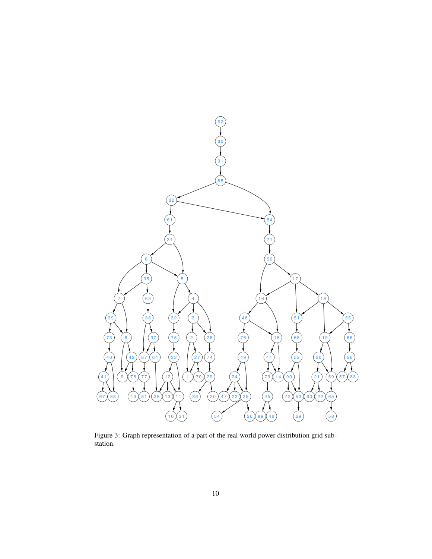<span id="page-9-0"></span>

Figure 3: Graph representation of a part of the real world power distribution grid substation.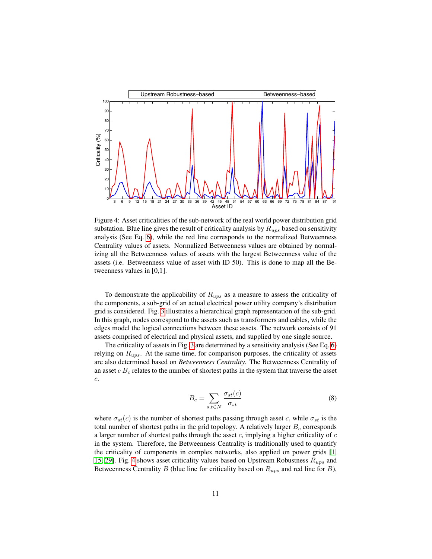<span id="page-10-0"></span>

Figure 4: Asset criticalities of the sub-network of the real world power distribution grid substation. Blue line gives the result of criticality analysis by  $R_{ups}$  based on sensitivity analysis (See Eq. [6\)](#page-8-1), while the red line corresponds to the normalized Betweenness Centrality values of assets. Normalized Betweenness values are obtained by normalizing all the Betweenness values of assets with the largest Betweenness value of the assets (i.e. Betweenness value of asset with ID 50). This is done to map all the Betweenness values in [0,1].

To demonstrate the applicability of  $R_{ups}$  as a measure to assess the criticality of the components, a sub-grid of an actual electrical power utility company's distribution grid is considered. Fig. [3](#page-9-0) illustrates a hierarchical graph representation of the sub-grid. In this graph, nodes correspond to the assets such as transformers and cables, while the edges model the logical connections between these assets. The network consists of 91 assets comprised of electrical and physical assets, and supplied by one single source.

The criticality of assets in Fig. [3](#page-9-0) are determined by a sensitivity analysis (See Eq. [6\)](#page-8-1) relying on  $R_{ups}$ . At the same time, for comparison purposes, the criticality of assets are also determined based on *Betweenness Centrality*. The Betweenness Centrality of an asset  $c B_c$  relates to the number of shortest paths in the system that traverse the asset c.

$$
B_c = \sum_{s,t \in N} \frac{\sigma_{st}(c)}{\sigma_{st}} \tag{8}
$$

where  $\sigma_{st}(c)$  is the number of shortest paths passing through asset *c*, while  $\sigma_{st}$  is the total number of shortest paths in the grid topology. A relatively larger  $B<sub>c</sub>$  corresponds a larger number of shortest paths through the asset  $c$ , implying a higher criticality of  $c$ in the system. Therefore, the Betweenness Centrality is traditionally used to quantify the criticality of components in complex networks, also applied on power grids [\[1,](#page-16-12) [15,](#page-17-12) [29\]](#page-18-13). Fig. [4](#page-10-0) shows asset criticality values based on Upstream Robustness  $R_{ups}$  and Betweenness Centrality B (blue line for criticality based on  $R_{ups}$  and red line for B),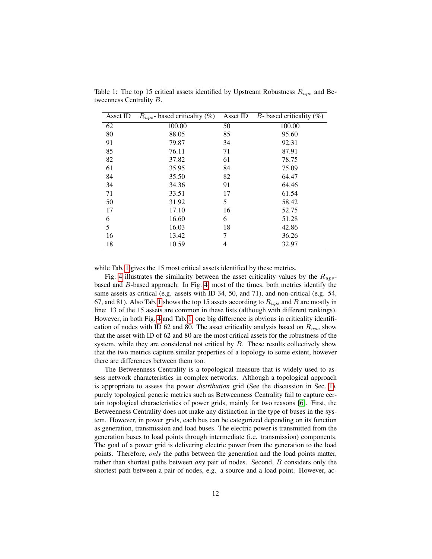| Asset ID | $R_{ups}$ - based criticality (%) | Asset ID | <i>B</i> -based criticality $(\%)$ |
|----------|-----------------------------------|----------|------------------------------------|
| 62       | 100.00                            | 50       | 100.00                             |
| 80       | 88.05                             | 85       | 95.60                              |
| 91       | 79.87                             | 34       | 92.31                              |
| 85       | 76.11                             | 71       | 87.91                              |
| 82       | 37.82                             | 61       | 78.75                              |
| 61       | 35.95                             | 84       | 75.09                              |
| 84       | 35.50                             | 82       | 64.47                              |
| 34       | 34.36                             | 91       | 64.46                              |
| 71       | 33.51                             | 17       | 61.54                              |
| 50       | 31.92                             | 5        | 58.42                              |
| 17       | 17.10                             | 16       | 52.75                              |
| 6        | 16.60                             | 6        | 51.28                              |
| 5        | 16.03                             | 18       | 42.86                              |
| 16       | 13.42                             | 7        | 36.26                              |
| 18       | 10.59                             | 4        | 32.97                              |

<span id="page-11-0"></span>Table 1: The top 15 critical assets identified by Upstream Robustness  $R_{ups}$  and Betweenness Centrality B.

while Tab. [1](#page-11-0) gives the 15 most critical assets identified by these metrics.

Fig. [4](#page-10-0) illustrates the similarity between the asset criticality values by the  $R_{ups}$ based and B-based approach. In Fig. [4,](#page-10-0) most of the times, both metrics identify the same assets as critical (e.g. assets with ID 34, 50, and 71), and non-critical (e.g. 54, 67, and 81). Also Tab. [1](#page-11-0) shows the top 15 assets according to  $R_{ups}$  and B are mostly in line: 13 of the 15 assets are common in these lists (although with different rankings). However, in both Fig. [4](#page-10-0) and Tab. [1,](#page-11-0) one big difference is obvious in criticality identification of nodes with ID 62 and 80. The asset criticality analysis based on  $R_{ups}$  show that the asset with ID of 62 and 80 are the most critical assets for the robustness of the system, while they are considered not critical by  $B$ . These results collectively show that the two metrics capture similar properties of a topology to some extent, however there are differences between them too.

The Betweenness Centrality is a topological measure that is widely used to assess network characteristics in complex networks. Although a topological approach is appropriate to assess the power *distribution* grid (See the discussion in Sec. [1\)](#page-0-0), purely topological generic metrics such as Betweenness Centrality fail to capture certain topological characteristics of power grids, mainly for two reasons [\[6\]](#page-16-13). First, the Betweenness Centrality does not make any distinction in the type of buses in the system. However, in power grids, each bus can be categorized depending on its function as generation, transmission and load buses. The electric power is transmitted from the generation buses to load points through intermediate (i.e. transmission) components. The goal of a power grid is delivering electric power from the generation to the load points. Therefore, *only* the paths between the generation and the load points matter, rather than shortest paths between *any* pair of nodes. Second, B considers only the shortest path between a pair of nodes, e.g. a source and a load point. However, ac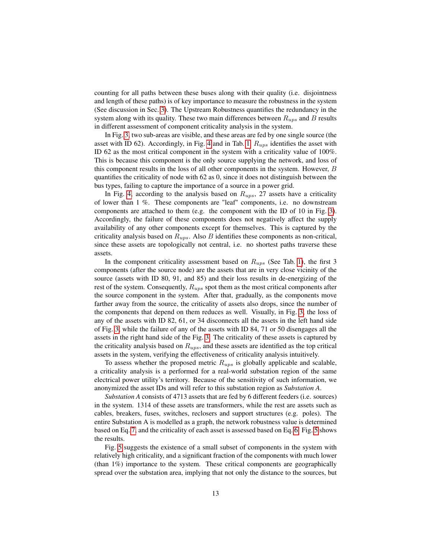counting for all paths between these buses along with their quality (i.e. disjointness and length of these paths) is of key importance to measure the robustness in the system (See discussion in Sec. [3\)](#page-4-0). The Upstream Robustness quantifies the redundancy in the system along with its quality. These two main differences between  $R_{ups}$  and B results in different assessment of component criticality analysis in the system.

In Fig. [3,](#page-9-0) two sub-areas are visible, and these areas are fed by one single source (the asset with ID 62). Accordingly, in Fig. [4](#page-10-0) and in Tab. [1,](#page-11-0)  $R_{ups}$  identifies the asset with ID 62 as the most critical component in the system with a criticality value of 100%. This is because this component is the only source supplying the network, and loss of this component results in the loss of all other components in the system. However, B quantifies the criticality of node with 62 as 0, since it does not distinguish between the bus types, failing to capture the importance of a source in a power grid.

In Fig. [4,](#page-10-0) according to the analysis based on  $R_{ups}$ , 27 assets have a criticality of lower than 1 %. These components are "leaf" components, i.e. no downstream components are attached to them (e.g. the component with the ID of 10 in Fig. [3\)](#page-9-0). Accordingly, the failure of these components does not negatively affect the supply availability of any other components except for themselves. This is captured by the criticality analysis based on  $R_{ups}$ . Also B identifies these components as non-critical, since these assets are topologically not central, i.e. no shortest paths traverse these assets.

In the component criticality assessment based on  $R_{ups}$  (See Tab. [1\)](#page-11-0), the first 3 components (after the source node) are the assets that are in very close vicinity of the source (assets with ID 80, 91, and 85) and their loss results in de-energizing of the rest of the system. Consequently,  $R_{ups}$  spot them as the most critical components after the source component in the system. After that, gradually, as the components move farther away from the source, the criticality of assets also drops, since the number of the components that depend on them reduces as well. Visually, in Fig. [3,](#page-9-0) the loss of any of the assets with ID 82, 61, or 34 disconnects all the assets in the left hand side of Fig. [3,](#page-9-0) while the failure of any of the assets with ID 84, 71 or 50 disengages all the assets in the right hand side of the Fig. [3.](#page-9-0) The criticality of these assets is captured by the criticality analysis based on  $R_{ups}$ , and these assets are identified as the top critical assets in the system, verifying the effectiveness of criticality analysis intuitively.

To assess whether the proposed metric  $R_{ups}$  is globally applicable and scalable, a criticality analysis is a performed for a real-world substation region of the same electrical power utility's territory. Because of the sensitivity of such information, we anonymized the asset IDs and will refer to this substation region as *Substation A*.

*Substation A* consists of 4713 assets that are fed by 6 different feeders (i.e. sources) in the system. 1314 of these assets are transformers, while the rest are assets such as cables, breakers, fuses, switches, reclosers and support structures (e.g. poles). The entire Substation A is modelled as a graph, the network robustness value is determined based on Eq. [7,](#page-8-2) and the criticality of each asset is assessed based on Eq. [6.](#page-8-1) Fig. [5](#page-13-0) shows the results.

Fig. [5](#page-13-0) suggests the existence of a small subset of components in the system with relatively high criticality, and a significant fraction of the components with much lower (than 1%) importance to the system. These critical components are geographically spread over the substation area, implying that not only the distance to the sources, but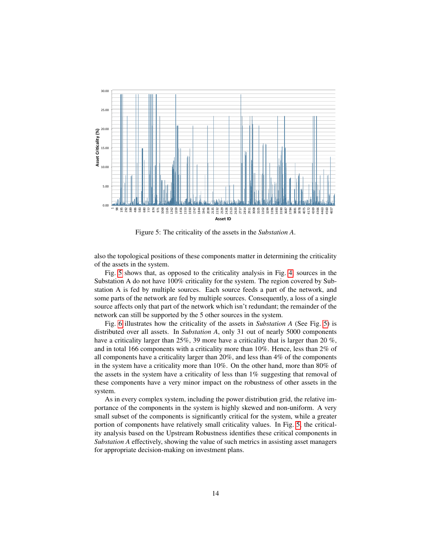<span id="page-13-0"></span>

Figure 5: The criticality of the assets in the *Substation A*.

also the topological positions of these components matter in determining the criticality of the assets in the system.

Fig. [5](#page-13-0) shows that, as opposed to the criticality analysis in Fig. [4,](#page-10-0) sources in the Substation A do not have 100% criticality for the system. The region covered by Substation A is fed by multiple sources. Each source feeds a part of the network, and some parts of the network are fed by multiple sources. Consequently, a loss of a single source affects only that part of the network which isn't redundant; the remainder of the network can still be supported by the 5 other sources in the system.

Fig. [6](#page-14-1) illustrates how the criticality of the assets in *Substation A* (See Fig. [5\)](#page-13-0) is distributed over all assets. In *Substation A*, only 31 out of nearly 5000 components have a criticality larger than 25%, 39 more have a criticality that is larger than 20 %, and in total 166 components with a criticality more than 10%. Hence, less than 2% of all components have a criticality larger than 20%, and less than 4% of the components in the system have a criticality more than 10%. On the other hand, more than 80% of the assets in the system have a criticality of less than  $1\%$  suggesting that removal of these components have a very minor impact on the robustness of other assets in the system.

As in every complex system, including the power distribution grid, the relative importance of the components in the system is highly skewed and non-uniform. A very small subset of the components is significantly critical for the system, while a greater portion of components have relatively small criticality values. In Fig. [5,](#page-13-0) the criticality analysis based on the Upstream Robustness identifies these critical components in *Substation A* effectively, showing the value of such metrics in assisting asset managers for appropriate decision-making on investment plans.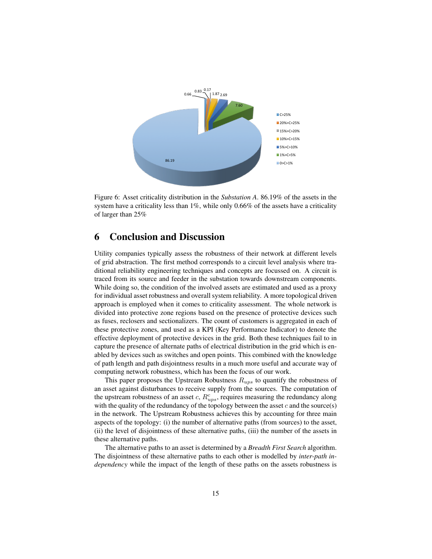<span id="page-14-1"></span>

Figure 6: Asset criticality distribution in the *Substation A*. 86.19% of the assets in the system have a criticality less than 1%, while only 0.66% of the assets have a criticality of larger than 25%

## <span id="page-14-0"></span>6 Conclusion and Discussion

Utility companies typically assess the robustness of their network at different levels of grid abstraction. The first method corresponds to a circuit level analysis where traditional reliability engineering techniques and concepts are focussed on. A circuit is traced from its source and feeder in the substation towards downstream components. While doing so, the condition of the involved assets are estimated and used as a proxy for individual asset robustness and overall system reliability. A more topological driven approach is employed when it comes to criticality assessment. The whole network is divided into protective zone regions based on the presence of protective devices such as fuses, reclosers and sectionalizers. The count of customers is aggregated in each of these protective zones, and used as a KPI (Key Performance Indicator) to denote the effective deployment of protective devices in the grid. Both these techniques fail to in capture the presence of alternate paths of electrical distribution in the grid which is enabled by devices such as switches and open points. This combined with the knowledge of path length and path disjointness results in a much more useful and accurate way of computing network robustness, which has been the focus of our work.

This paper proposes the Upstream Robustness  $R_{ups}$  to quantify the robustness of an asset against disturbances to receive supply from the sources. The computation of the upstream robustness of an asset c,  $R_{ups}^c$ , requires measuring the redundancy along with the quality of the redundancy of the topology between the asset  $c$  and the source(s) in the network. The Upstream Robustness achieves this by accounting for three main aspects of the topology: (i) the number of alternative paths (from sources) to the asset, (ii) the level of disjointness of these alternative paths, (iii) the number of the assets in these alternative paths.

The alternative paths to an asset is determined by a *Breadth First Search* algorithm. The disjointness of these alternative paths to each other is modelled by *inter-path independency* while the impact of the length of these paths on the assets robustness is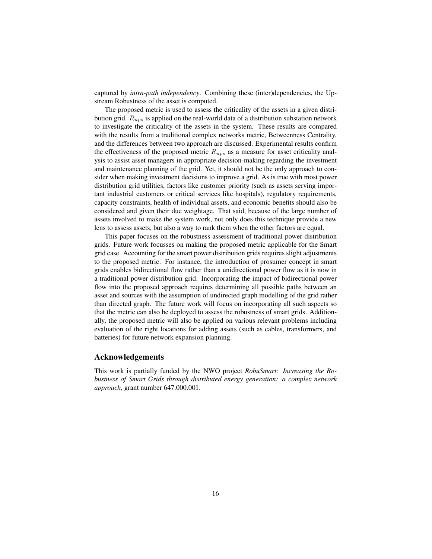captured by *intra-path independency*. Combining these (inter)dependencies, the Upstream Robustness of the asset is computed.

The proposed metric is used to assess the criticality of the assets in a given distribution grid.  $R_{ups}$  is applied on the real-world data of a distribution substation network to investigate the criticality of the assets in the system. These results are compared with the results from a traditional complex networks metric, Betweenness Centrality, and the differences between two approach are discussed. Experimental results confirm the effectiveness of the proposed metric  $R_{ups}$  as a measure for asset criticality analysis to assist asset managers in appropriate decision-making regarding the investment and maintenance planning of the grid. Yet, it should not be the only approach to consider when making investment decisions to improve a grid. As is true with most power distribution grid utilities, factors like customer priority (such as assets serving important industrial customers or critical services like hospitals), regulatory requirements, capacity constraints, health of individual assets, and economic benefits should also be considered and given their due weightage. That said, because of the large number of assets involved to make the system work, not only does this technique provide a new lens to assess assets, but also a way to rank them when the other factors are equal.

This paper focuses on the robustness assessment of traditional power distribution grids. Future work focusses on making the proposed metric applicable for the Smart grid case. Accounting for the smart power distribution grids requires slight adjustments to the proposed metric. For instance, the introduction of prosumer concept in smart grids enables bidirectional flow rather than a unidirectional power flow as it is now in a traditional power distribution grid. Incorporating the impact of bidirectional power flow into the proposed approach requires determining all possible paths between an asset and sources with the assumption of undirected graph modelling of the grid rather than directed graph. The future work will focus on incorporating all such aspects so that the metric can also be deployed to assess the robustness of smart grids. Additionally, the proposed metric will also be applied on various relevant problems including evaluation of the right locations for adding assets (such as cables, transformers, and batteries) for future network expansion planning.

#### Acknowledgements

This work is partially funded by the NWO project *RobuSmart: Increasing the Robustness of Smart Grids through distributed energy generation: a complex network approach*, grant number 647.000.001.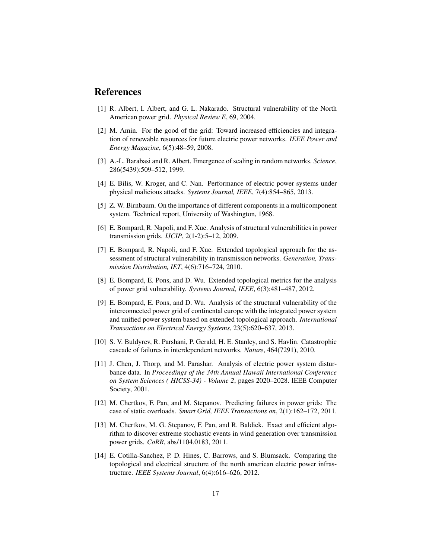## References

- <span id="page-16-12"></span>[1] R. Albert, I. Albert, and G. L. Nakarado. Structural vulnerability of the North American power grid. *Physical Review E*, 69, 2004.
- <span id="page-16-1"></span>[2] M. Amin. For the good of the grid: Toward increased efficiencies and integration of renewable resources for future electric power networks. *IEEE Power and Energy Magazine*, 6(5):48–59, 2008.
- <span id="page-16-3"></span>[3] A.-L. Barabasi and R. Albert. Emergence of scaling in random networks. *Science*, 286(5439):509–512, 1999.
- <span id="page-16-11"></span>[4] E. Bilis, W. Kroger, and C. Nan. Performance of electric power systems under physical malicious attacks. *Systems Journal, IEEE*, 7(4):854–865, 2013.
- <span id="page-16-7"></span>[5] Z. W. Birnbaum. On the importance of different components in a multicomponent system. Technical report, University of Washington, 1968.
- <span id="page-16-13"></span>[6] E. Bompard, R. Napoli, and F. Xue. Analysis of structural vulnerabilities in power transmission grids. *IJCIP*, 2(1-2):5–12, 2009.
- <span id="page-16-8"></span>[7] E. Bompard, R. Napoli, and F. Xue. Extended topological approach for the assessment of structural vulnerability in transmission networks. *Generation, Transmission Distribution, IET*, 4(6):716–724, 2010.
- <span id="page-16-2"></span>[8] E. Bompard, E. Pons, and D. Wu. Extended topological metrics for the analysis of power grid vulnerability. *Systems Journal, IEEE*, 6(3):481–487, 2012.
- <span id="page-16-10"></span>[9] E. Bompard, E. Pons, and D. Wu. Analysis of the structural vulnerability of the interconnected power grid of continental europe with the integrated power system and unified power system based on extended topological approach. *International Transactions on Electrical Energy Systems*, 23(5):620–637, 2013.
- <span id="page-16-4"></span>[10] S. V. Buldyrev, R. Parshani, P. Gerald, H. E. Stanley, and S. Havlin. Catastrophic cascade of failures in interdependent networks. *Nature*, 464(7291), 2010.
- <span id="page-16-0"></span>[11] J. Chen, J. Thorp, and M. Parashar. Analysis of electric power system disturbance data. In *Proceedings of the 34th Annual Hawaii International Conference on System Sciences ( HICSS-34) - Volume 2*, pages 2020–2028. IEEE Computer Society, 2001.
- <span id="page-16-5"></span>[12] M. Chertkov, F. Pan, and M. Stepanov. Predicting failures in power grids: The case of static overloads. *Smart Grid, IEEE Transactions on*, 2(1):162–172, 2011.
- <span id="page-16-6"></span>[13] M. Chertkov, M. G. Stepanov, F. Pan, and R. Baldick. Exact and efficient algorithm to discover extreme stochastic events in wind generation over transmission power grids. *CoRR*, abs/1104.0183, 2011.
- <span id="page-16-9"></span>[14] E. Cotilla-Sanchez, P. D. Hines, C. Barrows, and S. Blumsack. Comparing the topological and electrical structure of the north american electric power infrastructure. *IEEE Systems Journal*, 6(4):616–626, 2012.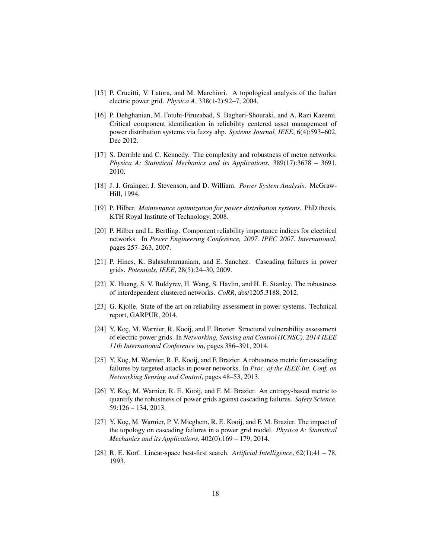- <span id="page-17-12"></span>[15] P. Crucitti, V. Latora, and M. Marchiori. A topological analysis of the Italian electric power grid. *Physica A*, 338(1-2):92–7, 2004.
- <span id="page-17-7"></span>[16] P. Dehghanian, M. Fotuhi-Firuzabad, S. Bagheri-Shouraki, and A. Razi Kazemi. Critical component identification in reliability centered asset management of power distribution systems via fuzzy ahp. *Systems Journal, IEEE*, 6(4):593–602, Dec 2012.
- <span id="page-17-10"></span>[17] S. Derrible and C. Kennedy. The complexity and robustness of metro networks. *Physica A: Statistical Mechanics and its Applications*, 389(17):3678 – 3691, 2010.
- <span id="page-17-5"></span>[18] J. J. Grainger, J. Stevenson, and D. William. *Power System Analysis*. McGraw-Hill, 1994.
- <span id="page-17-8"></span>[19] P. Hilber. *Maintenance optimization for power distribution systems*. PhD thesis, KTH Royal Institute of Technology, 2008.
- <span id="page-17-9"></span>[20] P. Hilber and L. Bertling. Component reliability importance indices for electrical networks. In *Power Engineering Conference, 2007. IPEC 2007. International*, pages 257–263, 2007.
- <span id="page-17-0"></span>[21] P. Hines, K. Balasubramaniam, and E. Sanchez. Cascading failures in power grids. *Potentials, IEEE*, 28(5):24–30, 2009.
- <span id="page-17-3"></span>[22] X. Huang, S. V. Buldyrev, H. Wang, S. Havlin, and H. E. Stanley. The robustness of interdependent clustered networks. *CoRR*, abs/1205.3188, 2012.
- <span id="page-17-6"></span>[23] G. Kjolle. State of the art on reliability assessment in power systems. Technical report, GARPUR, 2014.
- <span id="page-17-11"></span>[24] Y. Koç, M. Warnier, R. Kooij, and F. Brazier. Structural vulnerability assessment of electric power grids. In *Networking, Sensing and Control (ICNSC), 2014 IEEE 11th International Conference on*, pages 386–391, 2014.
- <span id="page-17-1"></span>[25] Y. Koç, M. Warnier, R. E. Kooij, and F. Brazier. A robustness metric for cascading failures by targeted attacks in power networks. In *Proc. of the IEEE Int. Conf. on Networking Sensing and Control*, pages 48–53, 2013.
- <span id="page-17-2"></span>[26] Y. Koç, M. Warnier, R. E. Kooij, and F. M. Brazier. An entropy-based metric to quantify the robustness of power grids against cascading failures. *Safety Science*, 59:126 – 134, 2013.
- <span id="page-17-4"></span>[27] Y. Koç, M. Warnier, P. V. Mieghem, R. E. Kooij, and F. M. Brazier. The impact of the topology on cascading failures in a power grid model. *Physica A: Statistical Mechanics and its Applications*, 402(0):169 – 179, 2014.
- <span id="page-17-13"></span>[28] R. E. Korf. Linear-space best-first search. *Artificial Intelligence*, 62(1):41 – 78, 1993.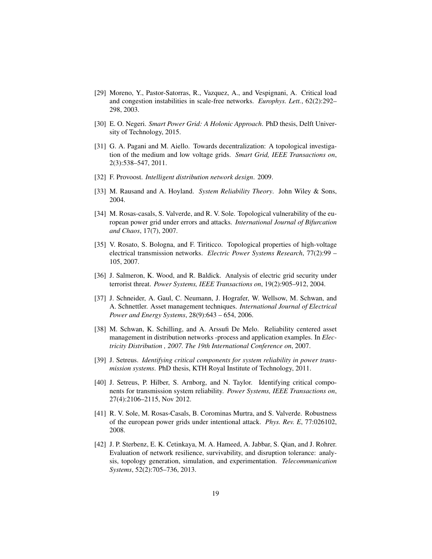- <span id="page-18-13"></span>[29] Moreno, Y., Pastor-Satorras, R., Vazquez, A., and Vespignani, A. Critical load and congestion instabilities in scale-free networks. *Europhys. Lett.*, 62(2):292– 298, 2003.
- <span id="page-18-7"></span>[30] E. O. Negeri. *Smart Power Grid: A Holonic Approach*. PhD thesis, Delft University of Technology, 2015.
- <span id="page-18-12"></span>[31] G. A. Pagani and M. Aiello. Towards decentralization: A topological investigation of the medium and low voltage grids. *Smart Grid, IEEE Transactions on*, 2(3):538–547, 2011.
- <span id="page-18-0"></span>[32] F. Provoost. *Intelligent distribution network design*. 2009.
- <span id="page-18-2"></span>[33] M. Rausand and A. Hoyland. *System Reliability Theory*. John Wiley & Sons, 2004.
- <span id="page-18-11"></span>[34] M. Rosas-casals, S. Valverde, and R. V. Sole. Topological vulnerability of the european power grid under errors and attacks. *International Journal of Bifurcation and Chaos*, 17(7), 2007.
- <span id="page-18-10"></span>[35] V. Rosato, S. Bologna, and F. Tiriticco. Topological properties of high-voltage electrical transmission networks. *Electric Power Systems Research*, 77(2):99 – 105, 2007.
- <span id="page-18-1"></span>[36] J. Salmeron, K. Wood, and R. Baldick. Analysis of electric grid security under terrorist threat. *Power Systems, IEEE Transactions on*, 19(2):905–912, 2004.
- <span id="page-18-3"></span>[37] J. Schneider, A. Gaul, C. Neumann, J. Hografer, W. Wellsow, M. Schwan, and A. Schnettler. Asset management techniques. *International Journal of Electrical Power and Energy Systems*, 28(9):643 – 654, 2006.
- <span id="page-18-4"></span>[38] M. Schwan, K. Schilling, and A. Arssufi De Melo. Reliability centered asset management in distribution networks -process and application examples. In *Electricity Distribution , 2007. The 19th International Conference on*, 2007.
- <span id="page-18-6"></span>[39] J. Setreus. *Identifying critical components for system reliability in power transmission systems*. PhD thesis, KTH Royal Institute of Technology, 2011.
- <span id="page-18-5"></span>[40] J. Setreus, P. Hilber, S. Arnborg, and N. Taylor. Identifying critical components for transmission system reliability. *Power Systems, IEEE Transactions on*, 27(4):2106–2115, Nov 2012.
- <span id="page-18-9"></span>[41] R. V. Sole, M. Rosas-Casals, B. Corominas Murtra, and S. Valverde. Robustness of the european power grids under intentional attack. *Phys. Rev. E*, 77:026102, 2008.
- <span id="page-18-8"></span>[42] J. P. Sterbenz, E. K. Cetinkaya, M. A. Hameed, A. Jabbar, S. Qian, and J. Rohrer. Evaluation of network resilience, survivability, and disruption tolerance: analysis, topology generation, simulation, and experimentation. *Telecommunication Systems*, 52(2):705–736, 2013.